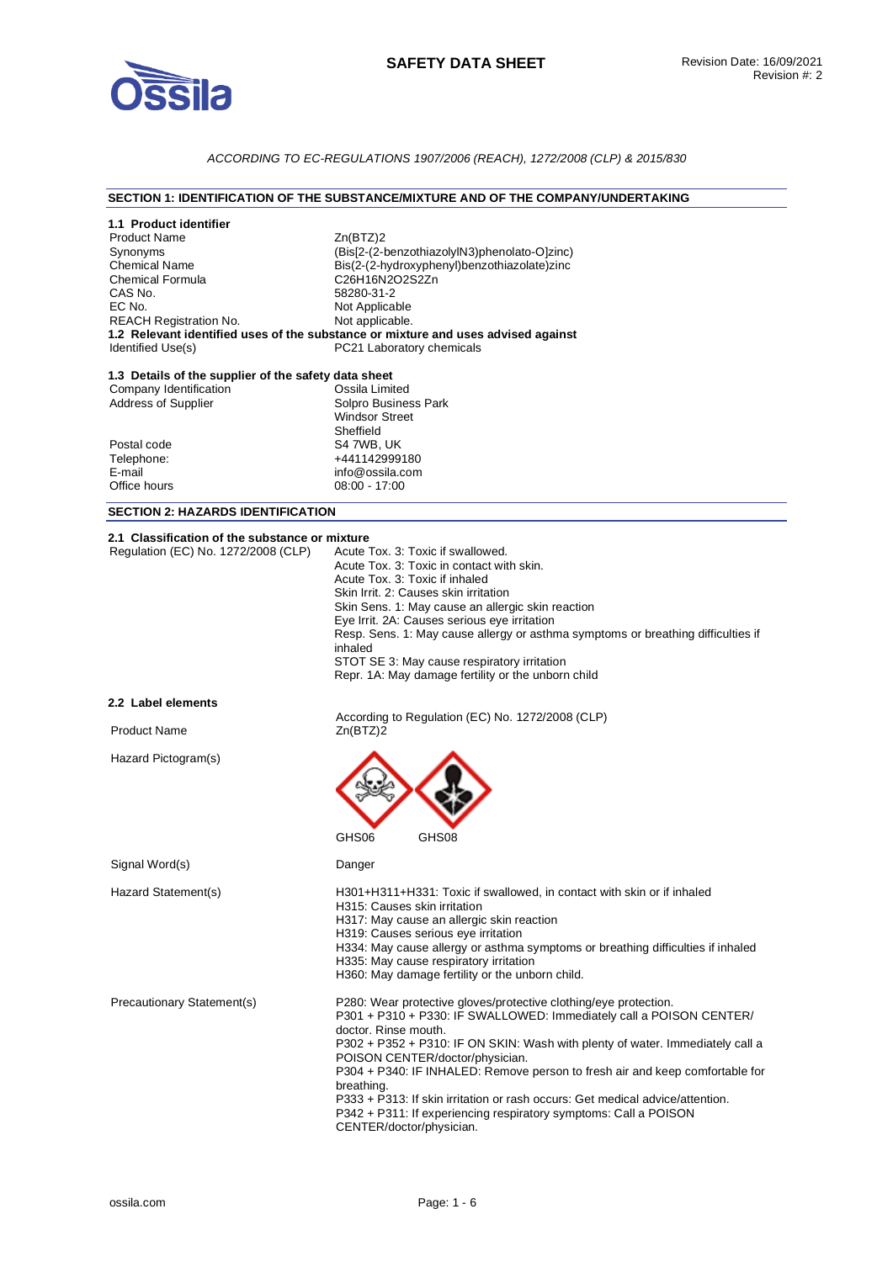

## *ACCORDING TO EC-REGULATIONS 1907/2006 (REACH), 1272/2008 (CLP) & 2015/830*

## **SECTION 1: IDENTIFICATION OF THE SUBSTANCE/MIXTURE AND OF THE COMPANY/UNDERTAKING**

| 1.1 Product identifier<br><b>Product Name</b><br>Synonyms<br><b>Chemical Name</b><br><b>Chemical Formula</b><br>CAS No.<br>EC No.<br><b>REACH Registration No.</b><br>Identified Use(s) | Zn(BTZ)2<br>(Bis[2-(2-benzothiazolylN3)phenolato-O]zinc)<br>Bis(2-(2-hydroxyphenyl)benzothiazolate)zinc<br>C26H16N2O2S2Zn<br>58280-31-2<br>Not Applicable<br>Not applicable.<br>1.2 Relevant identified uses of the substance or mixture and uses advised against<br>PC21 Laboratory chemicals                                                                                                                                                                                                                                                                     |
|-----------------------------------------------------------------------------------------------------------------------------------------------------------------------------------------|--------------------------------------------------------------------------------------------------------------------------------------------------------------------------------------------------------------------------------------------------------------------------------------------------------------------------------------------------------------------------------------------------------------------------------------------------------------------------------------------------------------------------------------------------------------------|
| 1.3 Details of the supplier of the safety data sheet<br>Company Identification<br>Address of Supplier<br>Postal code<br>Telephone:<br>E-mail<br>Office hours                            | Ossila Limited<br>Solpro Business Park<br><b>Windsor Street</b><br>Sheffield<br>S4 7WB, UK<br>+441142999180<br>info@ossila.com<br>$08:00 - 17:00$                                                                                                                                                                                                                                                                                                                                                                                                                  |
| <b>SECTION 2: HAZARDS IDENTIFICATION</b>                                                                                                                                                |                                                                                                                                                                                                                                                                                                                                                                                                                                                                                                                                                                    |
| 2.1 Classification of the substance or mixture<br>Regulation (EC) No. 1272/2008 (CLP)                                                                                                   | Acute Tox, 3: Toxic if swallowed.<br>Acute Tox. 3: Toxic in contact with skin.<br>Acute Tox. 3: Toxic if inhaled<br>Skin Irrit. 2: Causes skin irritation<br>Skin Sens. 1: May cause an allergic skin reaction<br>Eye Irrit. 2A: Causes serious eye irritation<br>Resp. Sens. 1: May cause allergy or asthma symptoms or breathing difficulties if<br>inhaled<br>STOT SE 3: May cause respiratory irritation<br>Repr. 1A: May damage fertility or the unborn child                                                                                                 |
| 2.2 Label elements                                                                                                                                                                      |                                                                                                                                                                                                                                                                                                                                                                                                                                                                                                                                                                    |
| <b>Product Name</b>                                                                                                                                                                     | According to Regulation (EC) No. 1272/2008 (CLP)<br>Zn(BTZ)2                                                                                                                                                                                                                                                                                                                                                                                                                                                                                                       |
| Hazard Pictogram(s)                                                                                                                                                                     | GHS <sub>06</sub><br>GHS08                                                                                                                                                                                                                                                                                                                                                                                                                                                                                                                                         |
| Signal Word(s)                                                                                                                                                                          | Danger                                                                                                                                                                                                                                                                                                                                                                                                                                                                                                                                                             |
| Hazard Statement(s)                                                                                                                                                                     | H301+H311+H331: Toxic if swallowed, in contact with skin or if inhaled<br>H315: Causes skin irritation<br>H317: May cause an allergic skin reaction<br>H319: Causes serious eye irritation<br>H334: May cause allergy or asthma symptoms or breathing difficulties if inhaled<br>H335: May cause respiratory irritation<br>H360: May damage fertility or the unborn child.                                                                                                                                                                                         |
| Precautionary Statement(s)                                                                                                                                                              | P280: Wear protective gloves/protective clothing/eye protection.<br>P301 + P310 + P330: IF SWALLOWED: Immediately call a POISON CENTER/<br>doctor. Rinse mouth.<br>P302 + P352 + P310: IF ON SKIN: Wash with plenty of water. Immediately call a<br>POISON CENTER/doctor/physician.<br>P304 + P340: IF INHALED: Remove person to fresh air and keep comfortable for<br>breathing.<br>P333 + P313: If skin irritation or rash occurs: Get medical advice/attention.<br>P342 + P311: If experiencing respiratory symptoms: Call a POISON<br>CENTER/doctor/physician. |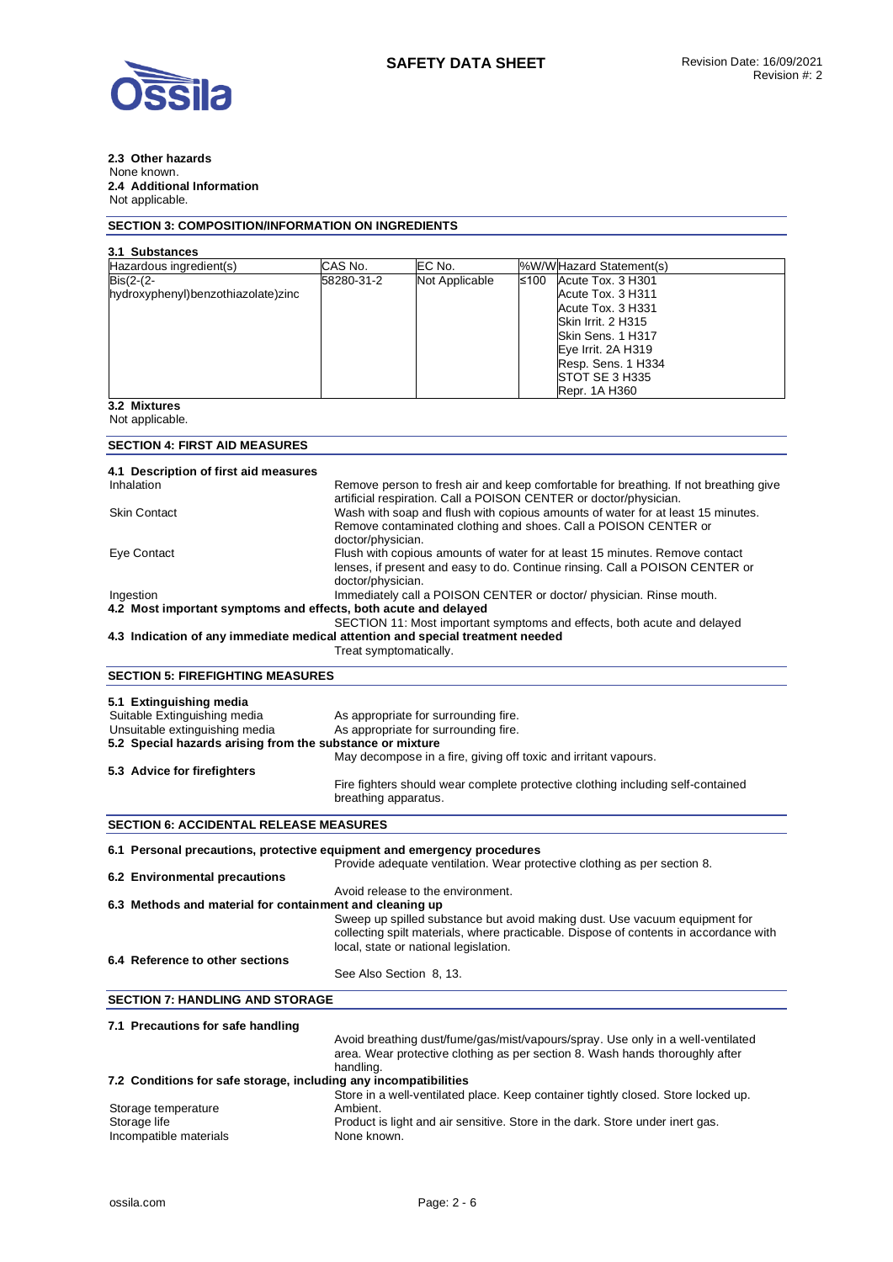

#### **2.3 Other hazards**  None known. **2.4 Additional Information**  Not applicable.

# **SECTION 3: COMPOSITION/INFORMATION ON INGREDIENTS**

| 3.1 Substances                                                                 |                         |                                       |                                                                                                                                                      |  |  |
|--------------------------------------------------------------------------------|-------------------------|---------------------------------------|------------------------------------------------------------------------------------------------------------------------------------------------------|--|--|
| Hazardous ingredient(s)                                                        | CAS No.                 | EC No.                                | %W/WHazard Statement(s)                                                                                                                              |  |  |
| $\overline{ Bis(2-2)}$                                                         | 58280-31-2              | Not Applicable                        | ≤100<br>Acute Tox. 3 H301                                                                                                                            |  |  |
| hydroxyphenyl)benzothiazolate)zinc                                             |                         |                                       | Acute Tox. 3 H311                                                                                                                                    |  |  |
|                                                                                |                         |                                       | Acute Tox. 3 H331                                                                                                                                    |  |  |
|                                                                                |                         |                                       | Skin Irrit. 2 H315<br>Skin Sens. 1 H317                                                                                                              |  |  |
|                                                                                |                         |                                       | Eye Irrit. 2A H319                                                                                                                                   |  |  |
|                                                                                |                         |                                       | Resp. Sens. 1 H334                                                                                                                                   |  |  |
|                                                                                |                         |                                       | STOT SE 3 H335                                                                                                                                       |  |  |
|                                                                                |                         |                                       | Repr. 1A H360                                                                                                                                        |  |  |
| 3.2 Mixtures<br>Not applicable.                                                |                         |                                       |                                                                                                                                                      |  |  |
|                                                                                |                         |                                       |                                                                                                                                                      |  |  |
| <b>SECTION 4: FIRST AID MEASURES</b>                                           |                         |                                       |                                                                                                                                                      |  |  |
| 4.1 Description of first aid measures                                          |                         |                                       |                                                                                                                                                      |  |  |
| Inhalation                                                                     |                         |                                       | Remove person to fresh air and keep comfortable for breathing. If not breathing give                                                                 |  |  |
| <b>Skin Contact</b>                                                            |                         |                                       | artificial respiration. Call a POISON CENTER or doctor/physician.<br>Wash with soap and flush with copious amounts of water for at least 15 minutes. |  |  |
|                                                                                |                         |                                       | Remove contaminated clothing and shoes. Call a POISON CENTER or                                                                                      |  |  |
|                                                                                | doctor/physician.       |                                       |                                                                                                                                                      |  |  |
| Eye Contact                                                                    |                         |                                       | Flush with copious amounts of water for at least 15 minutes. Remove contact                                                                          |  |  |
|                                                                                |                         |                                       | lenses, if present and easy to do. Continue rinsing. Call a POISON CENTER or                                                                         |  |  |
|                                                                                | doctor/physician.       |                                       |                                                                                                                                                      |  |  |
| Ingestion<br>4.2 Most important symptoms and effects, both acute and delayed   |                         |                                       | Immediately call a POISON CENTER or doctor/ physician. Rinse mouth.                                                                                  |  |  |
|                                                                                |                         |                                       | SECTION 11: Most important symptoms and effects, both acute and delayed                                                                              |  |  |
| 4.3 Indication of any immediate medical attention and special treatment needed |                         |                                       |                                                                                                                                                      |  |  |
|                                                                                | Treat symptomatically.  |                                       |                                                                                                                                                      |  |  |
| <b>SECTION 5: FIREFIGHTING MEASURES</b>                                        |                         |                                       |                                                                                                                                                      |  |  |
| 5.1 Extinguishing media                                                        |                         |                                       |                                                                                                                                                      |  |  |
| Suitable Extinguishing media                                                   |                         | As appropriate for surrounding fire.  |                                                                                                                                                      |  |  |
| Unsuitable extinguishing media                                                 |                         | As appropriate for surrounding fire.  |                                                                                                                                                      |  |  |
| 5.2 Special hazards arising from the substance or mixture                      |                         |                                       |                                                                                                                                                      |  |  |
|                                                                                |                         |                                       | May decompose in a fire, giving off toxic and irritant vapours.                                                                                      |  |  |
| 5.3 Advice for firefighters                                                    |                         |                                       |                                                                                                                                                      |  |  |
|                                                                                | breathing apparatus.    |                                       | Fire fighters should wear complete protective clothing including self-contained                                                                      |  |  |
|                                                                                |                         |                                       |                                                                                                                                                      |  |  |
| <b>SECTION 6: ACCIDENTAL RELEASE MEASURES</b>                                  |                         |                                       |                                                                                                                                                      |  |  |
| 6.1 Personal precautions, protective equipment and emergency procedures        |                         |                                       |                                                                                                                                                      |  |  |
| 6.2 Environmental precautions                                                  |                         |                                       | Provide adequate ventilation. Wear protective clothing as per section 8.                                                                             |  |  |
|                                                                                |                         | Avoid release to the environment.     |                                                                                                                                                      |  |  |
| 6.3 Methods and material for containment and cleaning up                       |                         |                                       |                                                                                                                                                      |  |  |
|                                                                                |                         |                                       | Sweep up spilled substance but avoid making dust. Use vacuum equipment for                                                                           |  |  |
|                                                                                |                         |                                       | collecting spilt materials, where practicable. Dispose of contents in accordance with                                                                |  |  |
| 6.4 Reference to other sections                                                |                         | local, state or national legislation. |                                                                                                                                                      |  |  |
|                                                                                | See Also Section 8, 13. |                                       |                                                                                                                                                      |  |  |
|                                                                                |                         |                                       |                                                                                                                                                      |  |  |
| <b>SECTION 7: HANDLING AND STORAGE</b>                                         |                         |                                       |                                                                                                                                                      |  |  |
| 7.1 Precautions for safe handling                                              |                         |                                       |                                                                                                                                                      |  |  |
|                                                                                |                         |                                       | Avoid breathing dust/fume/gas/mist/vapours/spray. Use only in a well-ventilated                                                                      |  |  |
|                                                                                |                         |                                       | area. Wear protective clothing as per section 8. Wash hands thoroughly after                                                                         |  |  |
| 7.2 Conditions for safe storage, including any incompatibilities               | handling.               |                                       |                                                                                                                                                      |  |  |
|                                                                                |                         |                                       | Store in a well-ventilated place. Keep container tightly closed. Store locked up.                                                                    |  |  |
| Storage temperature                                                            | Ambient.                |                                       |                                                                                                                                                      |  |  |
| Storage life                                                                   |                         |                                       | Product is light and air sensitive. Store in the dark. Store under inert gas.                                                                        |  |  |
| Incompatible materials                                                         | None known.             |                                       |                                                                                                                                                      |  |  |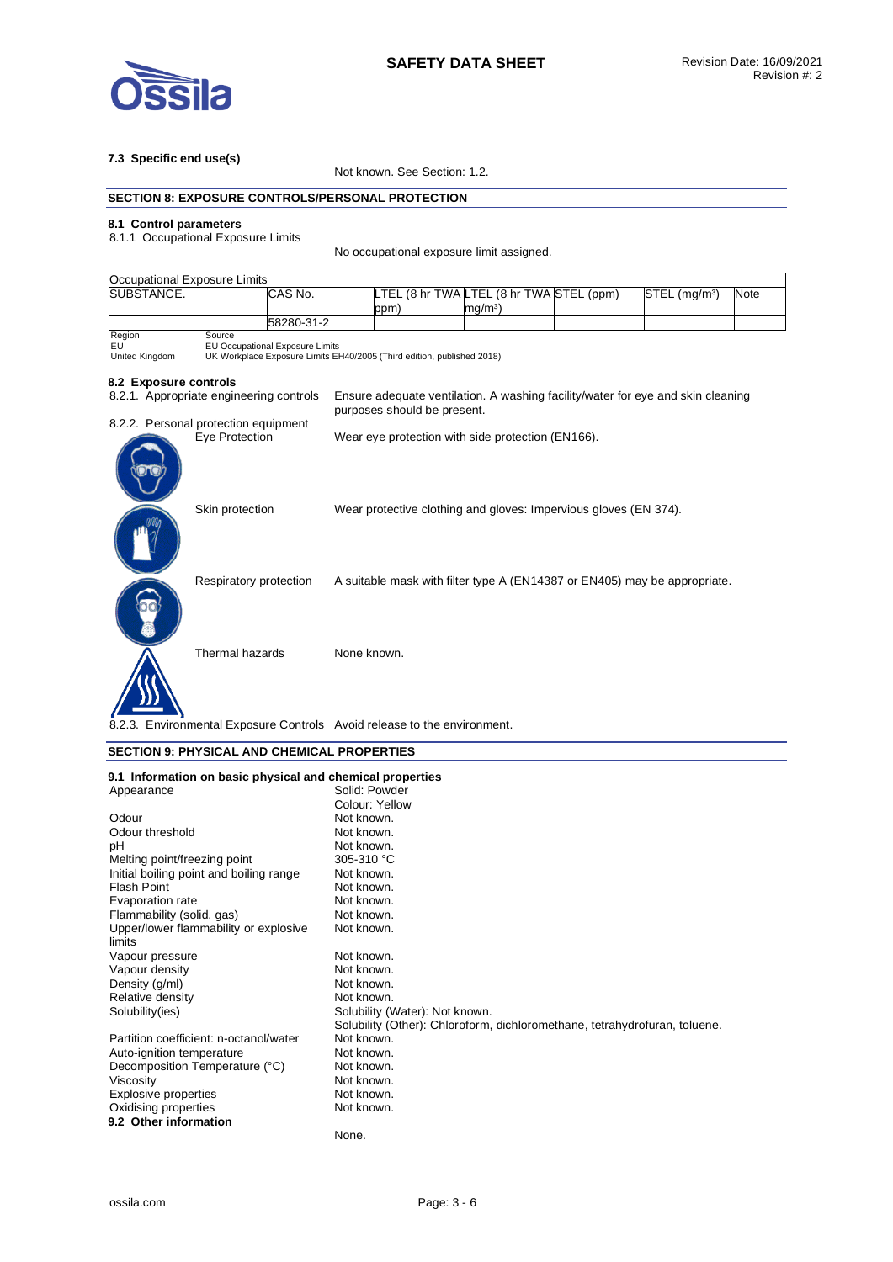

## **7.3 Specific end use(s)**

Not known. See Section: 1.2.

### **SECTION 8: EXPOSURE CONTROLS/PERSONAL PROTECTION**

### **8.1 Control parameters**

8.1.1 Occupational Exposure Limits

No occupational exposure limit assigned.

| Occupational Exposure Limits                                             |                                                                                                                     |                                                                                                                |             |      |  |  |                                                   |  |                                                                  |                                                                           |      |
|--------------------------------------------------------------------------|---------------------------------------------------------------------------------------------------------------------|----------------------------------------------------------------------------------------------------------------|-------------|------|--|--|---------------------------------------------------|--|------------------------------------------------------------------|---------------------------------------------------------------------------|------|
| <b>ISUBSTANCE.</b>                                                       | CAS No.                                                                                                             |                                                                                                                |             | ppm) |  |  | $mg/m3$ )                                         |  | LTEL (8 hr TWA LTEL (8 hr TWA STEL (ppm)                         | STEL (mg/m <sup>3</sup> )                                                 | Note |
|                                                                          |                                                                                                                     | 58280-31-2                                                                                                     |             |      |  |  |                                                   |  |                                                                  |                                                                           |      |
| Region<br>EU<br>United Kingdom                                           | Source<br>EU Occupational Exposure Limits<br>UK Workplace Exposure Limits EH40/2005 (Third edition, published 2018) |                                                                                                                |             |      |  |  |                                                   |  |                                                                  |                                                                           |      |
| 8.2 Exposure controls                                                    |                                                                                                                     |                                                                                                                |             |      |  |  |                                                   |  |                                                                  |                                                                           |      |
| 8.2.1. Appropriate engineering controls                                  |                                                                                                                     | Ensure adequate ventilation. A washing facility/water for eye and skin cleaning<br>purposes should be present. |             |      |  |  |                                                   |  |                                                                  |                                                                           |      |
| 8.2.2. Personal protection equipment                                     |                                                                                                                     |                                                                                                                |             |      |  |  |                                                   |  |                                                                  |                                                                           |      |
|                                                                          | Eye Protection                                                                                                      |                                                                                                                |             |      |  |  | Wear eye protection with side protection (EN166). |  |                                                                  |                                                                           |      |
|                                                                          | Skin protection                                                                                                     |                                                                                                                |             |      |  |  |                                                   |  | Wear protective clothing and gloves: Impervious gloves (EN 374). |                                                                           |      |
|                                                                          | Respiratory protection                                                                                              |                                                                                                                |             |      |  |  |                                                   |  |                                                                  | A suitable mask with filter type A (EN14387 or EN405) may be appropriate. |      |
|                                                                          | Thermal hazards                                                                                                     |                                                                                                                | None known. |      |  |  |                                                   |  |                                                                  |                                                                           |      |
| 8.2.3. Environmental Exposure Controls Avoid release to the environment. |                                                                                                                     |                                                                                                                |             |      |  |  |                                                   |  |                                                                  |                                                                           |      |

### **SECTION 9: PHYSICAL AND CHEMICAL PROPERTIES**

| 9.1 Information on basic physical and chemical properties |                                                                            |
|-----------------------------------------------------------|----------------------------------------------------------------------------|
| Appearance                                                | Solid: Powder                                                              |
|                                                           | Colour: Yellow                                                             |
| Odour                                                     | Not known.                                                                 |
| Odour threshold                                           | Not known.                                                                 |
| pH                                                        | Not known.                                                                 |
| Melting point/freezing point                              | 305-310 °C                                                                 |
| Initial boiling point and boiling range                   | Not known.                                                                 |
| <b>Flash Point</b>                                        | Not known.                                                                 |
| Evaporation rate                                          | Not known.                                                                 |
| Flammability (solid, gas)                                 | Not known.                                                                 |
| Upper/lower flammability or explosive                     | Not known.                                                                 |
| limits                                                    |                                                                            |
| Vapour pressure                                           | Not known.                                                                 |
| Vapour density                                            | Not known.                                                                 |
| Density (g/ml)                                            | Not known.                                                                 |
| Relative density                                          | Not known.                                                                 |
| Solubility(ies)                                           | Solubility (Water): Not known.                                             |
|                                                           | Solubility (Other): Chloroform, dichloromethane, tetrahydrofuran, toluene. |
| Partition coefficient: n-octanol/water                    | Not known.                                                                 |
| Auto-ignition temperature                                 | Not known.                                                                 |
| Decomposition Temperature (°C)                            | Not known.                                                                 |
| Viscosity                                                 | Not known.                                                                 |
| <b>Explosive properties</b>                               | Not known.                                                                 |
| Oxidising properties                                      | Not known.                                                                 |
| 9.2 Other information                                     |                                                                            |
|                                                           | None.                                                                      |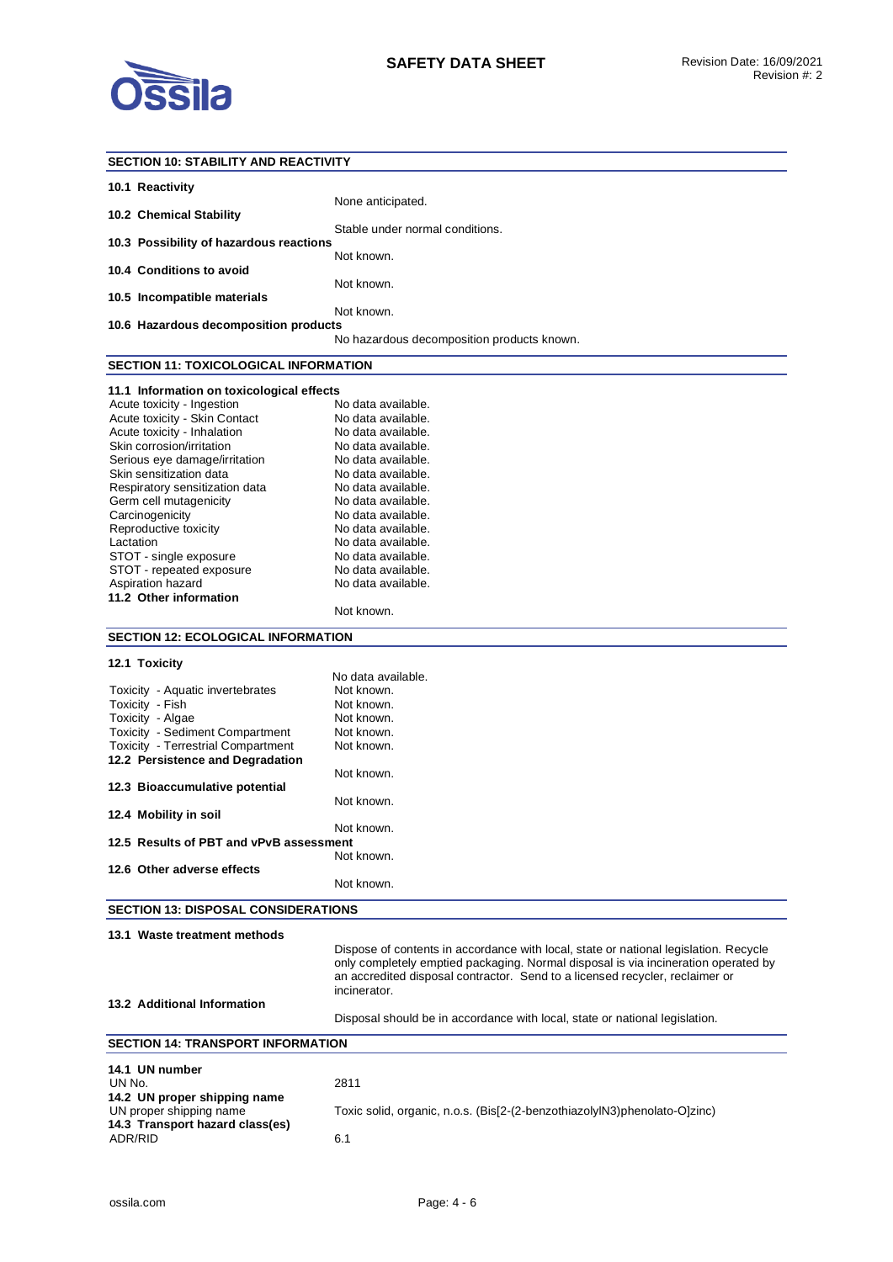

| <b>SECTION 10: STABILITY AND REACTIVITY</b>                             |                                                                                      |
|-------------------------------------------------------------------------|--------------------------------------------------------------------------------------|
| 10.1 Reactivity                                                         |                                                                                      |
| 10.2 Chemical Stability                                                 | None anticipated.                                                                    |
| 10.3 Possibility of hazardous reactions                                 | Stable under normal conditions.                                                      |
| 10.4 Conditions to avoid                                                | Not known.                                                                           |
| 10.5 Incompatible materials                                             | Not known.                                                                           |
| 10.6 Hazardous decomposition products                                   | Not known.                                                                           |
|                                                                         | No hazardous decomposition products known.                                           |
| <b>SECTION 11: TOXICOLOGICAL INFORMATION</b>                            |                                                                                      |
|                                                                         |                                                                                      |
| 11.1 Information on toxicological effects<br>Acute toxicity - Ingestion | No data available.                                                                   |
| Acute toxicity - Skin Contact                                           | No data available.                                                                   |
|                                                                         | No data available.                                                                   |
| Acute toxicity - Inhalation                                             |                                                                                      |
| Skin corrosion/irritation                                               | No data available.                                                                   |
| Serious eye damage/irritation                                           | No data available.                                                                   |
| Skin sensitization data                                                 | No data available.                                                                   |
| Respiratory sensitization data                                          | No data available.                                                                   |
| Germ cell mutagenicity                                                  | No data available.                                                                   |
| Carcinogenicity                                                         | No data available.                                                                   |
| Reproductive toxicity                                                   | No data available.                                                                   |
|                                                                         |                                                                                      |
| Lactation                                                               | No data available.                                                                   |
| STOT - single exposure                                                  | No data available.                                                                   |
| STOT - repeated exposure                                                | No data available.                                                                   |
| Aspiration hazard                                                       | No data available.                                                                   |
| 11.2 Other information                                                  |                                                                                      |
|                                                                         | Not known.                                                                           |
| <b>SECTION 12: ECOLOGICAL INFORMATION</b>                               |                                                                                      |
|                                                                         |                                                                                      |
| 12.1 Toxicity                                                           |                                                                                      |
|                                                                         | No data available.                                                                   |
| Toxicity - Aquatic invertebrates                                        | Not known.                                                                           |
| Toxicity - Fish                                                         | Not known.                                                                           |
|                                                                         |                                                                                      |
|                                                                         |                                                                                      |
| Toxicity - Algae                                                        | Not known.                                                                           |
| <b>Toxicity - Sediment Compartment</b>                                  | Not known.                                                                           |
| <b>Toxicity - Terrestrial Compartment</b>                               | Not known.                                                                           |
| 12.2 Persistence and Degradation                                        |                                                                                      |
|                                                                         | Not known.                                                                           |
| 12.3 Bioaccumulative potential                                          |                                                                                      |
|                                                                         | Not known.                                                                           |
| 12.4 Mobility in soil                                                   |                                                                                      |
|                                                                         | Not known.                                                                           |
| 12.5 Results of PBT and vPvB assessment                                 |                                                                                      |
|                                                                         | Not known.                                                                           |
| 12.6 Other adverse effects                                              |                                                                                      |
|                                                                         | Not known.                                                                           |
|                                                                         |                                                                                      |
| <b>SECTION 13: DISPOSAL CONSIDERATIONS</b>                              |                                                                                      |
| 13.1 Waste treatment methods                                            |                                                                                      |
|                                                                         | Dispose of contents in accordance with local, state or national legislation. Recycle |
|                                                                         |                                                                                      |
|                                                                         | only completely emptied packaging. Normal disposal is via incineration operated by   |
|                                                                         | an accredited disposal contractor. Send to a licensed recycler, reclaimer or         |
|                                                                         | incinerator.                                                                         |
| 13.2 Additional Information                                             |                                                                                      |
|                                                                         | Disposal should be in accordance with local, state or national legislation.          |
| <b>SECTION 14: TRANSPORT INFORMATION</b>                                |                                                                                      |
|                                                                         |                                                                                      |
| 14.1 UN number                                                          |                                                                                      |
| UN No.                                                                  | 2811                                                                                 |
| 14.2 UN proper shipping name                                            |                                                                                      |
| UN proper shipping name                                                 | Toxic solid, organic, n.o.s. (Bis[2-(2-benzothiazolyIN3)phenolato-O]zinc)            |
| 14.3 Transport hazard class(es)<br>ADR/RID                              | 6.1                                                                                  |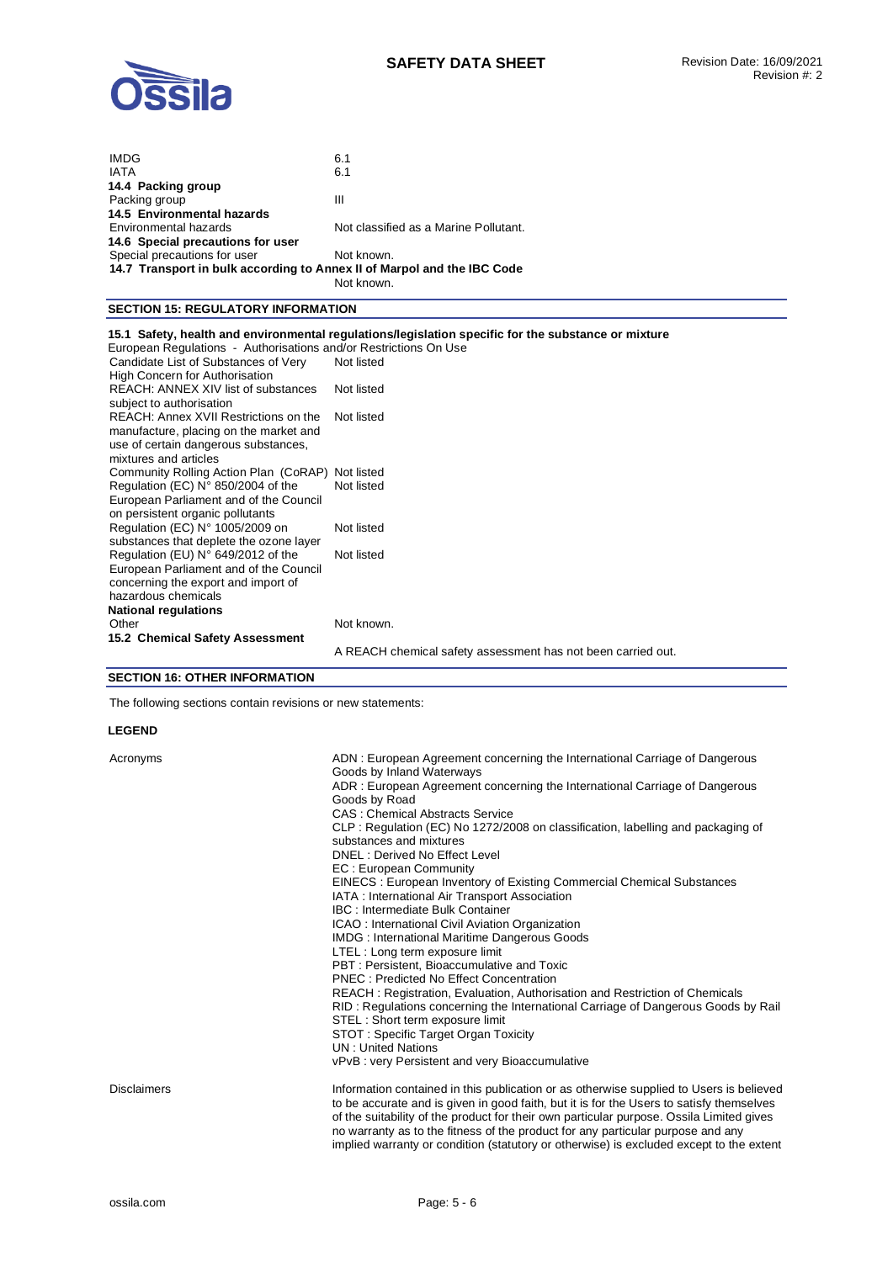

| <b>IMDG</b>                                                                    | 6.1                                                                                                               |
|--------------------------------------------------------------------------------|-------------------------------------------------------------------------------------------------------------------|
| <b>IATA</b>                                                                    | 6.1                                                                                                               |
| 14.4 Packing group                                                             |                                                                                                                   |
| Packing group                                                                  | Ш                                                                                                                 |
| 14.5 Environmental hazards                                                     |                                                                                                                   |
| Environmental hazards                                                          | Not classified as a Marine Pollutant.                                                                             |
| 14.6 Special precautions for user                                              |                                                                                                                   |
| Special precautions for user                                                   | Not known.                                                                                                        |
| 14.7 Transport in bulk according to Annex II of Marpol and the IBC Code        |                                                                                                                   |
|                                                                                | Not known.                                                                                                        |
| <b>SECTION 15: REGULATORY INFORMATION</b>                                      |                                                                                                                   |
| European Regulations - Authorisations and/or Restrictions On Use               | 15.1 Safety, health and environmental regulations/legislation specific for the substance or mixture<br>Not listed |
| Candidate List of Substances of Very<br>High Concern for Authorisation         |                                                                                                                   |
| REACH: ANNEX XIV list of substances<br>subject to authorisation                | Not listed                                                                                                        |
| REACH: Annex XVII Restrictions on the                                          | Not listed                                                                                                        |
| manufacture, placing on the market and<br>use of certain dangerous substances, |                                                                                                                   |
| mixtures and articles                                                          |                                                                                                                   |
| Community Rolling Action Plan (CoRAP)                                          | Not listed                                                                                                        |
| Regulation (EC) $N^{\circ}$ 850/2004 of the                                    | Not listed                                                                                                        |
| European Parliament and of the Council                                         |                                                                                                                   |
| on persistent organic pollutants                                               |                                                                                                                   |
| Regulation (EC) N° 1005/2009 on                                                | Not listed                                                                                                        |
| substances that deplete the ozone layer                                        |                                                                                                                   |
| Regulation (EU) $N^{\circ}$ 649/2012 of the                                    | Not listed                                                                                                        |

European Parliament and of the Council concerning the export and import of hazardous chemicals **National regulations**  Not known. **15.2 Chemical Safety Assessment**  A REACH chemical safety assessment has not been carried out.

#### **SECTION 16: OTHER INFORMATION**

The following sections contain revisions or new statements:

#### **LEGEND**

| Acronyms           | ADN: European Agreement concerning the International Carriage of Dangerous<br>Goods by Inland Waterways |
|--------------------|---------------------------------------------------------------------------------------------------------|
|                    | ADR: European Agreement concerning the International Carriage of Dangerous<br>Goods by Road             |
|                    | <b>CAS: Chemical Abstracts Service</b>                                                                  |
|                    | CLP: Regulation (EC) No 1272/2008 on classification, labelling and packaging of                         |
|                    | substances and mixtures                                                                                 |
|                    | DNEL: Derived No Effect Level                                                                           |
|                    | EC: European Community                                                                                  |
|                    | EINECS : European Inventory of Existing Commercial Chemical Substances                                  |
|                    | IATA : International Air Transport Association                                                          |
|                    | IBC : Intermediate Bulk Container                                                                       |
|                    | ICAO: International Civil Aviation Organization                                                         |
|                    | <b>IMDG: International Maritime Dangerous Goods</b>                                                     |
|                    | LTEL : Long term exposure limit                                                                         |
|                    | PBT: Persistent, Bioaccumulative and Toxic                                                              |
|                    | <b>PNEC: Predicted No Effect Concentration</b>                                                          |
|                    | REACH: Registration, Evaluation, Authorisation and Restriction of Chemicals                             |
|                    | RID: Regulations concerning the International Carriage of Dangerous Goods by Rail                       |
|                    | STEL : Short term exposure limit                                                                        |
|                    | STOT: Specific Target Organ Toxicity                                                                    |
|                    | <b>UN</b> : United Nations                                                                              |
|                    | vPvB : very Persistent and very Bioaccumulative                                                         |
| <b>Disclaimers</b> | Information contained in this publication or as otherwise supplied to Users is believed                 |
|                    | to be accurate and is given in good faith, but it is for the Users to satisfy themselves                |
|                    | of the suitability of the product for their own particular purpose. Ossila Limited gives                |
|                    | no warranty as to the fitness of the product for any particular purpose and any                         |

implied warranty or condition (statutory or otherwise) is excluded except to the extent